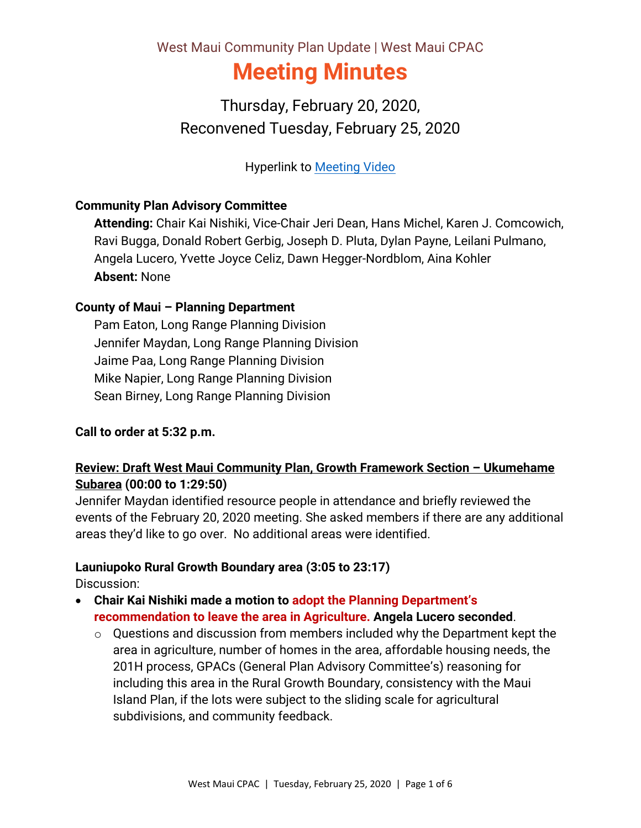# West Maui Community Plan Update | West Maui CPAC **Meeting Minutes**

Thursday, February 20, 2020, Reconvened Tuesday, February 25, 2020

Hyperlink to [Meeting Video](https://archive.org/200225-wmcpac)

#### **Community Plan Advisory Committee**

**Attending:** Chair Kai Nishiki, Vice-Chair Jeri Dean, Hans Michel, Karen J. Comcowich, Ravi Bugga, Donald Robert Gerbig, Joseph D. Pluta, Dylan Payne, Leilani Pulmano, Angela Lucero, Yvette Joyce Celiz, Dawn Hegger-Nordblom, Aina Kohler **Absent:** None

#### **County of Maui – Planning Department**

Pam Eaton, Long Range Planning Division Jennifer Maydan, Long Range Planning Division Jaime Paa, Long Range Planning Division Mike Napier, Long Range Planning Division Sean Birney, Long Range Planning Division

#### **Call to order at 5:32 p.m.**

## **Review: Draft West Maui Community Plan, Growth Framework Section – Ukumehame Subarea (00:00 to 1:29:50)**

Jennifer Maydan identified resource people in attendance and briefly reviewed the events of the February 20, 2020 meeting. She asked members if there are any additional areas they'd like to go over. No additional areas were identified.

#### **Launiupoko Rural Growth Boundary area (3:05 to 23:17)**

Discussion:

- **Chair Kai Nishiki made a motion to adopt the Planning Department's recommendation to leave the area in Agriculture. Angela Lucero seconded**.
	- o Questions and discussion from members included why the Department kept the area in agriculture, number of homes in the area, affordable housing needs, the 201H process, GPACs (General Plan Advisory Committee's) reasoning for including this area in the Rural Growth Boundary, consistency with the Maui Island Plan, if the lots were subject to the sliding scale for agricultural subdivisions, and community feedback.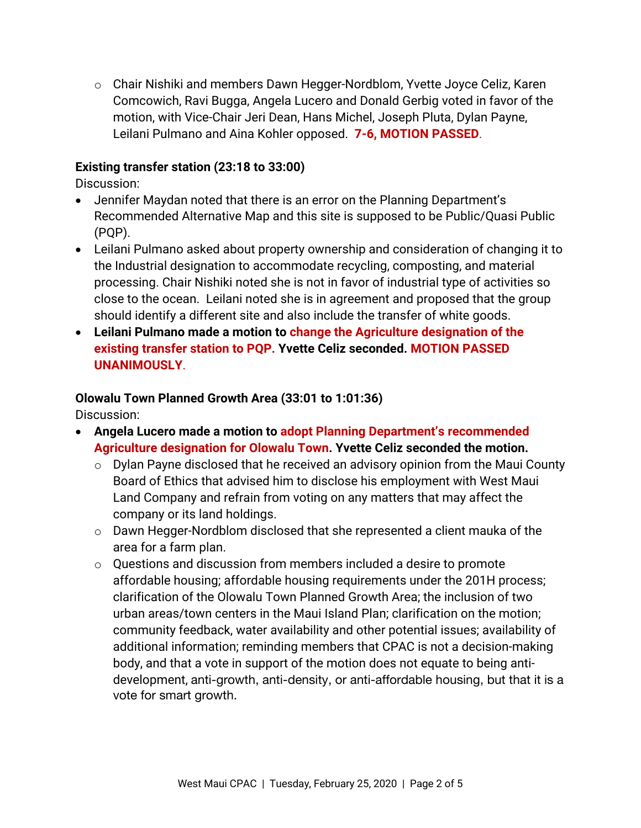o Chair Nishiki and members Dawn Hegger-Nordblom, Yvette Joyce Celiz, Karen Comcowich, Ravi Bugga, Angela Lucero and Donald Gerbig voted in favor of the motion, with Vice-Chair Jeri Dean, Hans Michel, Joseph Pluta, Dylan Payne, Leilani Pulmano and Aina Kohler opposed. **7-6, MOTION PASSED**.

#### **Existing transfer station (23:18 to 33:00)**

Discussion:

- Jennifer Maydan noted that there is an error on the Planning Department's Recommended Alternative Map and this site is supposed to be Public/Quasi Public (PQP).
- Leilani Pulmano asked about property ownership and consideration of changing it to the Industrial designation to accommodate recycling, composting, and material processing. Chair Nishiki noted she is not in favor of industrial type of activities so close to the ocean. Leilani noted she is in agreement and proposed that the group should identify a different site and also include the transfer of white goods.
- **Leilani Pulmano made a motion to change the Agriculture designation of the existing transfer station to PQP. Yvette Celiz seconded. MOTION PASSED UNANIMOUSLY**.

#### **Olowalu Town Planned Growth Area (33:01 to 1:01:36)**

Discussion:

- **Angela Lucero made a motion to adopt Planning Department's recommended Agriculture designation for Olowalu Town. Yvette Celiz seconded the motion.** 
	- o Dylan Payne disclosed that he received an advisory opinion from the Maui County Board of Ethics that advised him to disclose his employment with West Maui Land Company and refrain from voting on any matters that may affect the company or its land holdings.
	- o Dawn Hegger-Nordblom disclosed that she represented a client mauka of the area for a farm plan.
	- o Questions and discussion from members included a desire to promote affordable housing; affordable housing requirements under the 201H process; clarification of the Olowalu Town Planned Growth Area; the inclusion of two urban areas/town centers in the Maui Island Plan; clarification on the motion; community feedback, water availability and other potential issues; availability of additional information; reminding members that CPAC is not a decision-making body, and that a vote in support of the motion does not equate to being antidevelopment, anti-growth, anti-density, or anti-affordable housing, but that it is a vote for smart growth.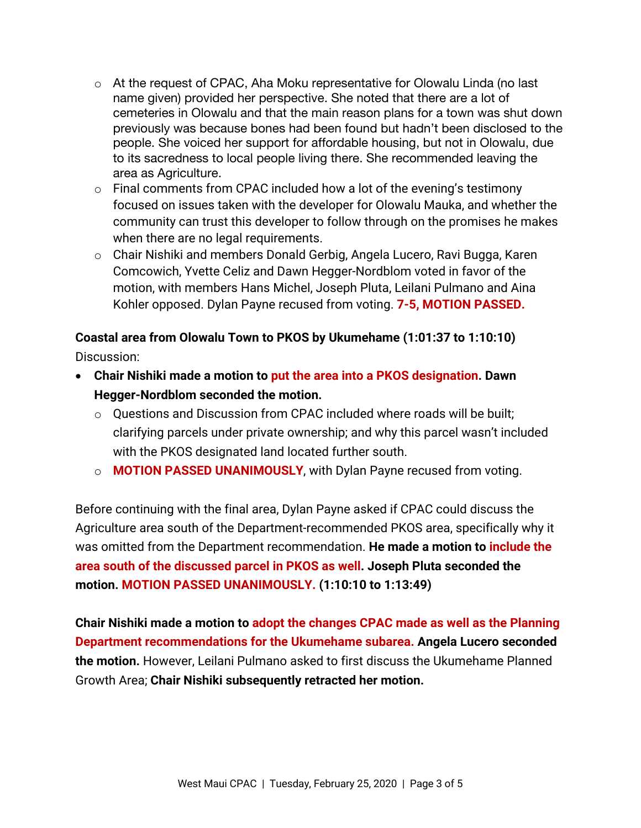- $\circ$  At the request of CPAC, Aha Moku representative for Olowalu Linda (no last name given) provided her perspective. She noted that there are a lot of cemeteries in Olowalu and that the main reason plans for a town was shut down previously was because bones had been found but hadn't been disclosed to the people. She voiced her support for affordable housing, but not in Olowalu, due to its sacredness to local people living there. She recommended leaving the area as Agriculture.
- $\circ$  Final comments from CPAC included how a lot of the evening's testimony focused on issues taken with the developer for Olowalu Mauka, and whether the community can trust this developer to follow through on the promises he makes when there are no legal requirements.
- o Chair Nishiki and members Donald Gerbig, Angela Lucero, Ravi Bugga, Karen Comcowich, Yvette Celiz and Dawn Hegger-Nordblom voted in favor of the motion, with members Hans Michel, Joseph Pluta, Leilani Pulmano and Aina Kohler opposed. Dylan Payne recused from voting. **7-5, MOTION PASSED.**

# **Coastal area from Olowalu Town to PKOS by Ukumehame (1:01:37 to 1:10:10)**

Discussion:

- **Chair Nishiki made a motion to put the area into a PKOS designation. Dawn Hegger-Nordblom seconded the motion.**
	- o Questions and Discussion from CPAC included where roads will be built; clarifying parcels under private ownership; and why this parcel wasn't included with the PKOS designated land located further south.
	- o **MOTION PASSED UNANIMOUSLY**, with Dylan Payne recused from voting.

Before continuing with the final area, Dylan Payne asked if CPAC could discuss the Agriculture area south of the Department-recommended PKOS area, specifically why it was omitted from the Department recommendation. **He made a motion to include the area south of the discussed parcel in PKOS as well. Joseph Pluta seconded the motion. MOTION PASSED UNANIMOUSLY. (1:10:10 to 1:13:49)**

**Chair Nishiki made a motion to adopt the changes CPAC made as well as the Planning Department recommendations for the Ukumehame subarea. Angela Lucero seconded the motion.** However, Leilani Pulmano asked to first discuss the Ukumehame Planned Growth Area; **Chair Nishiki subsequently retracted her motion.**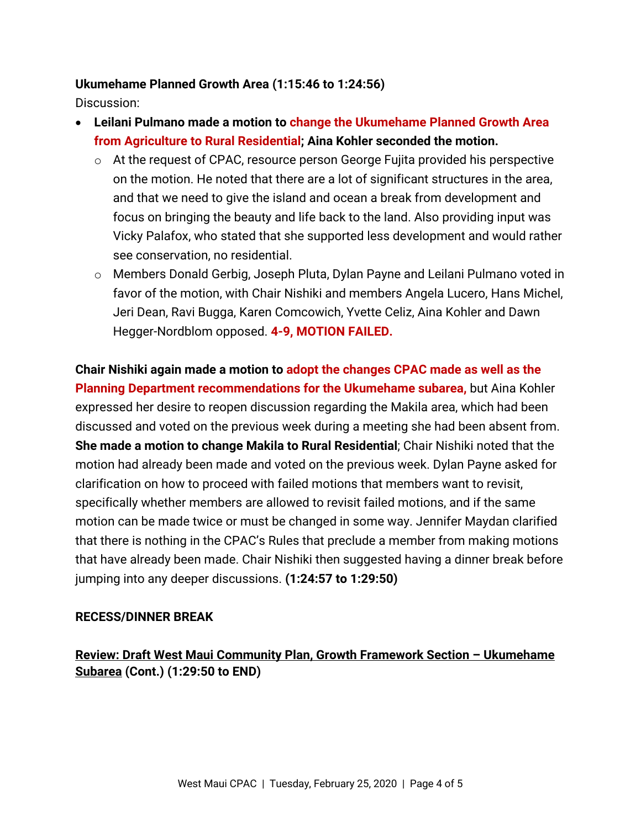#### **Ukumehame Planned Growth Area (1:15:46 to 1:24:56)**

Discussion:

- **Leilani Pulmano made a motion to change the Ukumehame Planned Growth Area from Agriculture to Rural Residential; Aina Kohler seconded the motion.**
	- o At the request of CPAC, resource person George Fujita provided his perspective on the motion. He noted that there are a lot of significant structures in the area, and that we need to give the island and ocean a break from development and focus on bringing the beauty and life back to the land. Also providing input was Vicky Palafox, who stated that she supported less development and would rather see conservation, no residential.
	- o Members Donald Gerbig, Joseph Pluta, Dylan Payne and Leilani Pulmano voted in favor of the motion, with Chair Nishiki and members Angela Lucero, Hans Michel, Jeri Dean, Ravi Bugga, Karen Comcowich, Yvette Celiz, Aina Kohler and Dawn Hegger-Nordblom opposed. **4-9, MOTION FAILED.**

**Chair Nishiki again made a motion to adopt the changes CPAC made as well as the Planning Department recommendations for the Ukumehame subarea,** but Aina Kohler expressed her desire to reopen discussion regarding the Makila area, which had been discussed and voted on the previous week during a meeting she had been absent from. **She made a motion to change Makila to Rural Residential**; Chair Nishiki noted that the motion had already been made and voted on the previous week. Dylan Payne asked for clarification on how to proceed with failed motions that members want to revisit, specifically whether members are allowed to revisit failed motions, and if the same motion can be made twice or must be changed in some way. Jennifer Maydan clarified that there is nothing in the CPAC's Rules that preclude a member from making motions that have already been made. Chair Nishiki then suggested having a dinner break before jumping into any deeper discussions. **(1:24:57 to 1:29:50)**

#### **RECESS/DINNER BREAK**

**Review: Draft West Maui Community Plan, Growth Framework Section – Ukumehame Subarea (Cont.) (1:29:50 to END)**